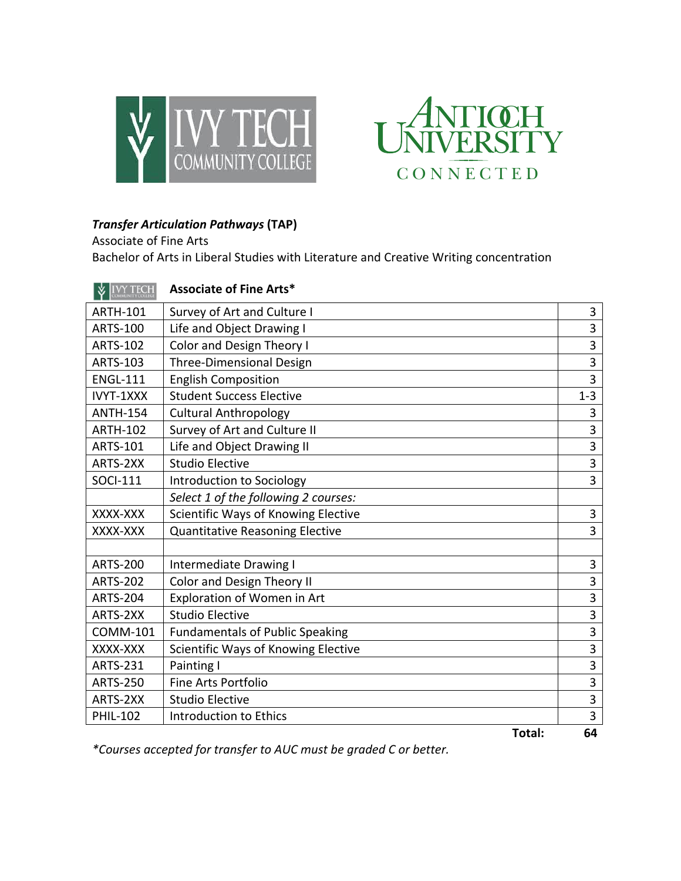



## **Transfer Articulation Pathways (TAP)**

Associate of Fine Arts Bachelor of Arts in Liberal Studies with Literature and Creative Writing concentration

| <b>V</b> IVY TECH | <b>Associate of Fine Arts*</b>         |                |
|-------------------|----------------------------------------|----------------|
| <b>ARTH-101</b>   | Survey of Art and Culture I            | 3              |
| <b>ARTS-100</b>   | Life and Object Drawing I              | $\overline{3}$ |
| <b>ARTS-102</b>   | <b>Color and Design Theory I</b>       | $\overline{3}$ |
| <b>ARTS-103</b>   | <b>Three-Dimensional Design</b>        | 3              |
| <b>ENGL-111</b>   | <b>English Composition</b>             | 3              |
| IVYT-1XXX         | <b>Student Success Elective</b>        | $1 - 3$        |
| <b>ANTH-154</b>   | <b>Cultural Anthropology</b>           | 3              |
| <b>ARTH-102</b>   | Survey of Art and Culture II           | 3              |
| <b>ARTS-101</b>   | Life and Object Drawing II             | 3              |
| ARTS-2XX          | <b>Studio Elective</b>                 | 3              |
| <b>SOCI-111</b>   | Introduction to Sociology              | 3              |
|                   | Select 1 of the following 2 courses:   |                |
| XXXX-XXX          | Scientific Ways of Knowing Elective    | 3              |
| XXXX-XXX          | <b>Quantitative Reasoning Elective</b> | 3              |
|                   |                                        |                |
| <b>ARTS-200</b>   | Intermediate Drawing I                 | 3              |
| <b>ARTS-202</b>   | <b>Color and Design Theory II</b>      | 3              |
| <b>ARTS-204</b>   | Exploration of Women in Art            | 3              |
| ARTS-2XX          | <b>Studio Elective</b>                 | 3              |
| <b>COMM-101</b>   | <b>Fundamentals of Public Speaking</b> | 3              |
| XXXX-XXX          | Scientific Ways of Knowing Elective    | $\overline{3}$ |
| <b>ARTS-231</b>   | Painting I                             | 3              |
| <b>ARTS-250</b>   | Fine Arts Portfolio                    | 3              |
| ARTS-2XX          | <b>Studio Elective</b>                 | 3              |
| <b>PHIL-102</b>   | <b>Introduction to Ethics</b>          | 3              |
|                   | Total:                                 | 64             |

*\*Courses accepted for transfer to AUC must be graded C or better.*